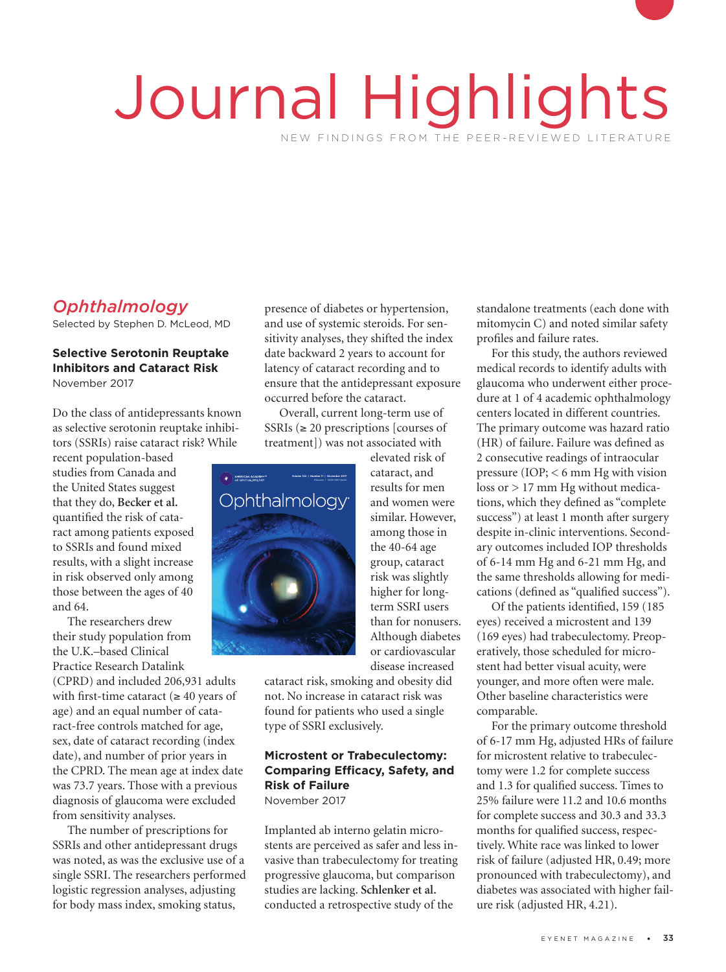# Journal Highlights NEW FINDINGS FROM THE PEER-REVIEWED LITERATURE

# *Ophthalmology*

Selected by Stephen D. McLeod, MD

#### **Selective Serotonin Reuptake Inhibitors and Cataract Risk** November 2017

Do the class of antidepressants known as selective serotonin reuptake inhibitors (SSRIs) raise cataract risk? While

recent population-based studies from Canada and the United States suggest that they do, **Becker et al.**  quantified the risk of cataract among patients exposed to SSRIs and found mixed results, with a slight increase in risk observed only among those between the ages of 40 and 64. Instance<br>In a slight is<br>Inved only

The researchers drew their study population from the U.K.–based Clinical Practice Research Datalink

(CPRD) and included 206,931 adults with first-time cataract ( $\geq 40$  years of age) and an equal number of cataract-free controls matched for age, sex, date of cataract recording (index date), and number of prior years in the CPRD. The mean age at index date was 73.7 years. Those with a previous diagnosis of glaucoma were excluded from sensitivity analyses.

The number of prescriptions for SSRIs and other antidepressant drugs was noted, as was the exclusive use of a single SSRI. The researchers performed logistic regression analyses, adjusting for body mass index, smoking status,

presence of diabetes or hypertension, and use of systemic steroids. For sensitivity analyses, they shifted the index date backward 2 years to account for latency of cataract recording and to ensure that the antidepressant exposure occurred before the cataract.

Overall, current long-term use of SSRIs ( $\geq$  20 prescriptions [courses of treatment]) was not associated with



elevated risk of cataract, and results for men and women were similar. However, among those in the 40-64 age group, cataract risk was slightly higher for longterm SSRI users than for nonusers. Although diabetes or cardiovascular disease increased

cataract risk, smoking and obesity did not. No increase in cataract risk was found for patients who used a single type of SSRI exclusively.

## **Microstent or Trabeculectomy: Comparing Efficacy, Safety, and Risk of Failure**

November 2017

Implanted ab interno gelatin microstents are perceived as safer and less invasive than trabeculectomy for treating progressive glaucoma, but comparison studies are lacking. **Schlenker et al.**  conducted a retrospective study of the

standalone treatments (each done with mitomycin C) and noted similar safety profiles and failure rates.

For this study, the authors reviewed medical records to identify adults with glaucoma who underwent either procedure at 1 of 4 academic ophthalmology centers located in different countries. The primary outcome was hazard ratio (HR) of failure. Failure was defined as 2 consecutive readings of intraocular pressure (IOP; < 6 mm Hg with vision loss or > 17 mm Hg without medications, which they defined as "complete success") at least 1 month after surgery despite in-clinic interventions. Secondary outcomes included IOP thresholds of 6-14 mm Hg and 6-21 mm Hg, and the same thresholds allowing for medications (defined as "qualified success").

Of the patients identified, 159 (185 eyes) received a microstent and 139 (169 eyes) had trabeculectomy. Preoperatively, those scheduled for microstent had better visual acuity, were younger, and more often were male. Other baseline characteristics were comparable.

For the primary outcome threshold of 6-17 mm Hg, adjusted HRs of failure for microstent relative to trabeculectomy were 1.2 for complete success and 1.3 for qualified success. Times to 25% failure were 11.2 and 10.6 months for complete success and 30.3 and 33.3 months for qualified success, respectively. White race was linked to lower risk of failure (adjusted HR, 0.49; more pronounced with trabeculectomy), and diabetes was associated with higher failure risk (adjusted HR, 4.21).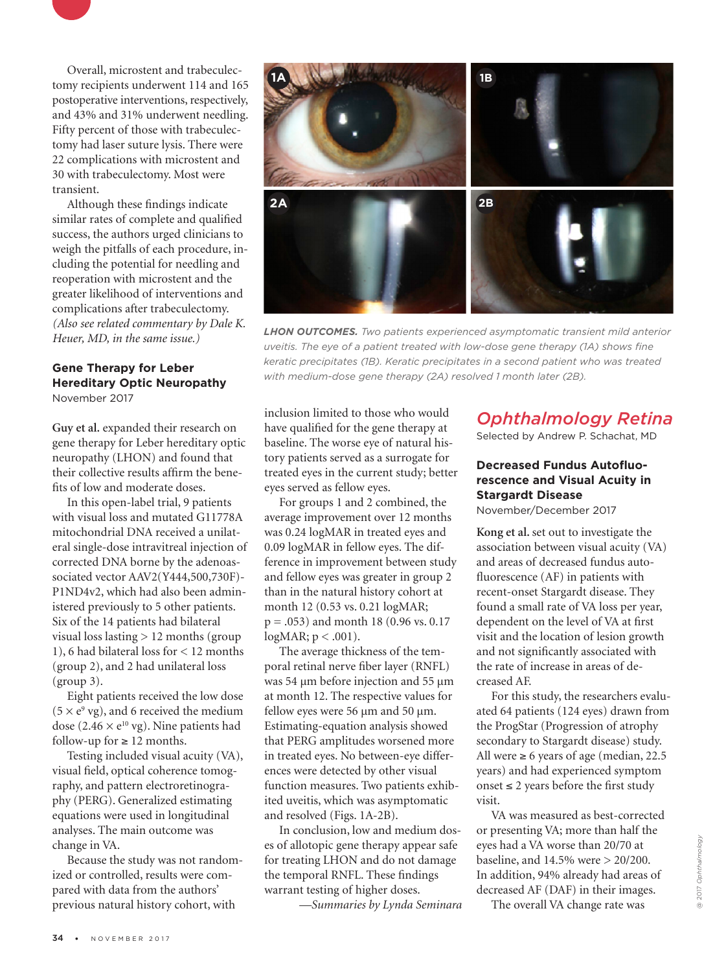

Although these findings indicate similar rates of complete and qualified success, the authors urged clinicians to weigh the pitfalls of each procedure, including the potential for needling and reoperation with microstent and the greater likelihood of interventions and complications after trabeculectomy. *(Also see related commentary by Dale K. Heuer, MD, in the same issue.)*

#### **Gene Therapy for Leber Hereditary Optic Neuropathy** November 2017

**Guy et al.** expanded their research on gene therapy for Leber hereditary optic neuropathy (LHON) and found that their collective results affirm the benefits of low and moderate doses.

In this open-label trial, 9 patients with visual loss and mutated G11778A mitochondrial DNA received a unilateral single-dose intravitreal injection of corrected DNA borne by the adenoassociated vector AAV2(Y444,500,730F)- P1ND4v2, which had also been administered previously to 5 other patients. Six of the 14 patients had bilateral visual loss lasting > 12 months (group 1), 6 had bilateral loss for < 12 months (group 2), and 2 had unilateral loss (group 3).

Eight patients received the low dose  $(5 \times e^9 \text{ vg})$ , and 6 received the medium dose (2.46  $\times$  e<sup>10</sup> vg). Nine patients had follow-up for  $\geq 12$  months.

Testing included visual acuity (VA), visual field, optical coherence tomography, and pattern electroretinography (PERG). Generalized estimating equations were used in longitudinal analyses. The main outcome was change in VA.

Because the study was not randomized or controlled, results were compared with data from the authors' previous natural history cohort, with



*LHON OUTCOMES. Two patients experienced asymptomatic transient mild anterior uveitis. The eye of a patient treated with low-dose gene therapy (1A) shows fine keratic precipitates (1B). Keratic precipitates in a second patient who was treated with medium-dose gene therapy (2A) resolved 1 month later (2B).*

inclusion limited to those who would have qualified for the gene therapy at baseline. The worse eye of natural history patients served as a surrogate for treated eyes in the current study; better eyes served as fellow eyes.

For groups 1 and 2 combined, the average improvement over 12 months was 0.24 logMAR in treated eyes and 0.09 logMAR in fellow eyes. The difference in improvement between study and fellow eyes was greater in group 2 than in the natural history cohort at month 12 (0.53 vs. 0.21 logMAR; p = .053) and month 18 (0.96 vs. 0.17  $logMAR; p < .001$ ).

The average thickness of the temporal retinal nerve fiber layer (RNFL) was 54 µm before injection and 55 µm at month 12. The respective values for fellow eyes were 56 µm and 50 µm. Estimating-equation analysis showed that PERG amplitudes worsened more in treated eyes. No between-eye differences were detected by other visual function measures. Two patients exhibited uveitis, which was asymptomatic and resolved (Figs. 1A-2B).

In conclusion, low and medium doses of allotopic gene therapy appear safe for treating LHON and do not damage the temporal RNFL. These findings warrant testing of higher doses.

*—Summaries by Lynda Seminara*

## *Ophthalmology Retina*

Selected by Andrew P. Schachat, MD

## **Decreased Fundus Autofluorescence and Visual Acuity in Stargardt Disease**

November/December 2017

**Kong et al.** set out to investigate the association between visual acuity (VA) and areas of decreased fundus autofluorescence (AF) in patients with recent-onset Stargardt disease. They found a small rate of VA loss per year, dependent on the level of VA at first visit and the location of lesion growth and not significantly associated with the rate of increase in areas of decreased AF.

For this study, the researchers evaluated 64 patients (124 eyes) drawn from the ProgStar (Progression of atrophy secondary to Stargardt disease) study. All were  $\geq 6$  years of age (median, 22.5) years) and had experienced symptom onset ≤ 2 years before the first study visit.

VA was measured as best-corrected or presenting VA; more than half the eyes had a VA worse than 20/70 at baseline, and 14.5% were > 20/200. In addition, 94% already had areas of decreased AF (DAF) in their images.

The overall VA change rate was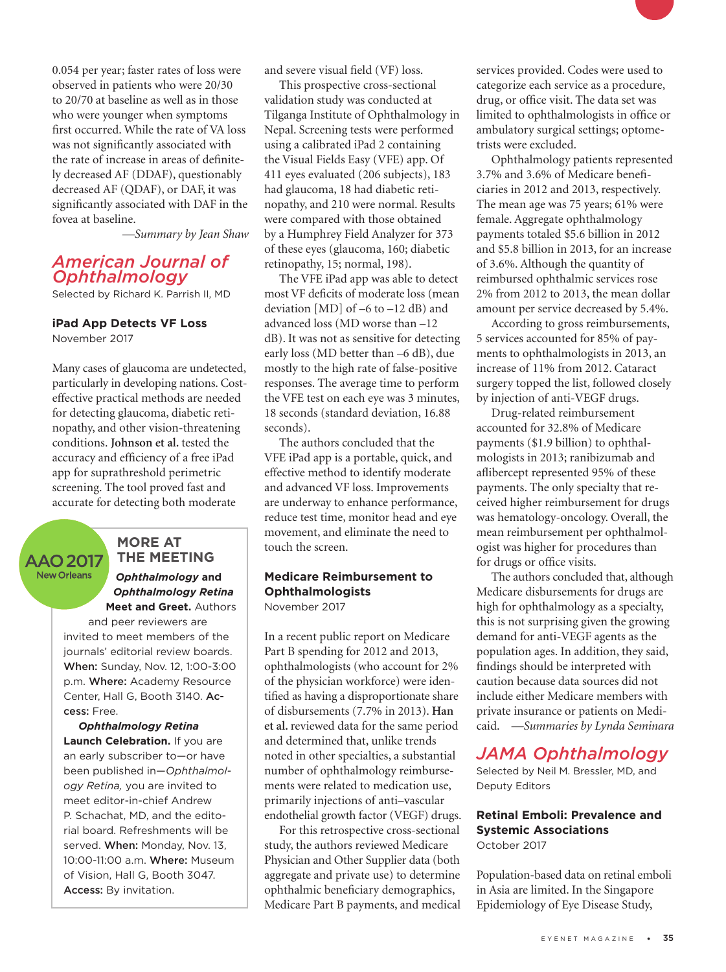0.054 per year; faster rates of loss were observed in patients who were 20/30 to 20/70 at baseline as well as in those who were younger when symptoms first occurred. While the rate of VA loss was not significantly associated with the rate of increase in areas of definitely decreased AF (DDAF), questionably decreased AF (QDAF), or DAF, it was significantly associated with DAF in the fovea at baseline.

*—Summary by Jean Shaw*

## *American Journal of Ophthalmology*

Selected by Richard K. Parrish II, MD

## **iPad App Detects VF Loss**

November 2017

Many cases of glaucoma are undetected, particularly in developing nations. Costeffective practical methods are needed for detecting glaucoma, diabetic retinopathy, and other vision-threatening conditions. **Johnson et al.** tested the accuracy and efficiency of a free iPad app for suprathreshold perimetric screening. The tool proved fast and accurate for detecting both moderate

#### **MORE AT THE MEETING AAO 2017 New Orleans**

*Ophthalmology* **and** *Ophthalmology Retina*  **Meet and Greet.** Authors

and peer reviewers are invited to meet members of the journals' editorial review boards. When: Sunday, Nov. 12, 1:00-3:00 p.m. Where: Academy Resource Center, Hall G, Booth 3140. Access: Free.

*Ophthalmology Retina*  **Launch Celebration.** If you are an early subscriber to—or have been published in—*Ophthalmology Retina,* you are invited to meet editor-in-chief Andrew P. Schachat, MD, and the editorial board. Refreshments will be served. When: Monday, Nov. 13, 10:00-11:00 a.m. Where: Museum of Vision, Hall G, Booth 3047. Access: By invitation.

and severe visual field (VF) loss.

This prospective cross-sectional validation study was conducted at Tilganga Institute of Ophthalmology in Nepal. Screening tests were performed using a calibrated iPad 2 containing the Visual Fields Easy (VFE) app. Of 411 eyes evaluated (206 subjects), 183 had glaucoma, 18 had diabetic retinopathy, and 210 were normal. Results were compared with those obtained by a Humphrey Field Analyzer for 373 of these eyes (glaucoma, 160; diabetic retinopathy, 15; normal, 198).

The VFE iPad app was able to detect most VF deficits of moderate loss (mean deviation [MD] of –6 to –12 dB) and advanced loss (MD worse than –12 dB). It was not as sensitive for detecting early loss (MD better than –6 dB), due mostly to the high rate of false-positive responses. The average time to perform the VFE test on each eye was 3 minutes, 18 seconds (standard deviation, 16.88 seconds).

The authors concluded that the VFE iPad app is a portable, quick, and effective method to identify moderate and advanced VF loss. Improvements are underway to enhance performance, reduce test time, monitor head and eye movement, and eliminate the need to touch the screen.

## **Medicare Reimbursement to Ophthalmologists**

November 2017

In a recent public report on Medicare Part B spending for 2012 and 2013, ophthalmologists (who account for 2% of the physician workforce) were identified as having a disproportionate share of disbursements (7.7% in 2013). **Han et al.** reviewed data for the same period and determined that, unlike trends noted in other specialties, a substantial number of ophthalmology reimbursements were related to medication use, primarily injections of anti–vascular endothelial growth factor (VEGF) drugs.

For this retrospective cross-sectional study, the authors reviewed Medicare Physician and Other Supplier data (both aggregate and private use) to determine ophthalmic beneficiary demographics, Medicare Part B payments, and medical

services provided. Codes were used to categorize each service as a procedure, drug, or office visit. The data set was limited to ophthalmologists in office or ambulatory surgical settings; optometrists were excluded.

Ophthalmology patients represented 3.7% and 3.6% of Medicare beneficiaries in 2012 and 2013, respectively. The mean age was 75 years; 61% were female. Aggregate ophthalmology payments totaled \$5.6 billion in 2012 and \$5.8 billion in 2013, for an increase of 3.6%. Although the quantity of reimbursed ophthalmic services rose 2% from 2012 to 2013, the mean dollar amount per service decreased by 5.4%.

According to gross reimbursements, 5 services accounted for 85% of payments to ophthalmologists in 2013, an increase of 11% from 2012. Cataract surgery topped the list, followed closely by injection of anti-VEGF drugs.

Drug-related reimbursement accounted for 32.8% of Medicare payments (\$1.9 billion) to ophthalmologists in 2013; ranibizumab and aflibercept represented 95% of these payments. The only specialty that received higher reimbursement for drugs was hematology-oncology. Overall, the mean reimbursement per ophthalmologist was higher for procedures than for drugs or office visits.

The authors concluded that, although Medicare disbursements for drugs are high for ophthalmology as a specialty, this is not surprising given the growing demand for anti-VEGF agents as the population ages. In addition, they said, findings should be interpreted with caution because data sources did not include either Medicare members with private insurance or patients on Medicaid. *—Summaries by Lynda Seminara*

## *JAMA Ophthalmology*

Selected by Neil M. Bressler, MD, and Deputy Editors

## **Retinal Emboli: Prevalence and Systemic Associations** October 2017

Population-based data on retinal emboli in Asia are limited. In the Singapore Epidemiology of Eye Disease Study,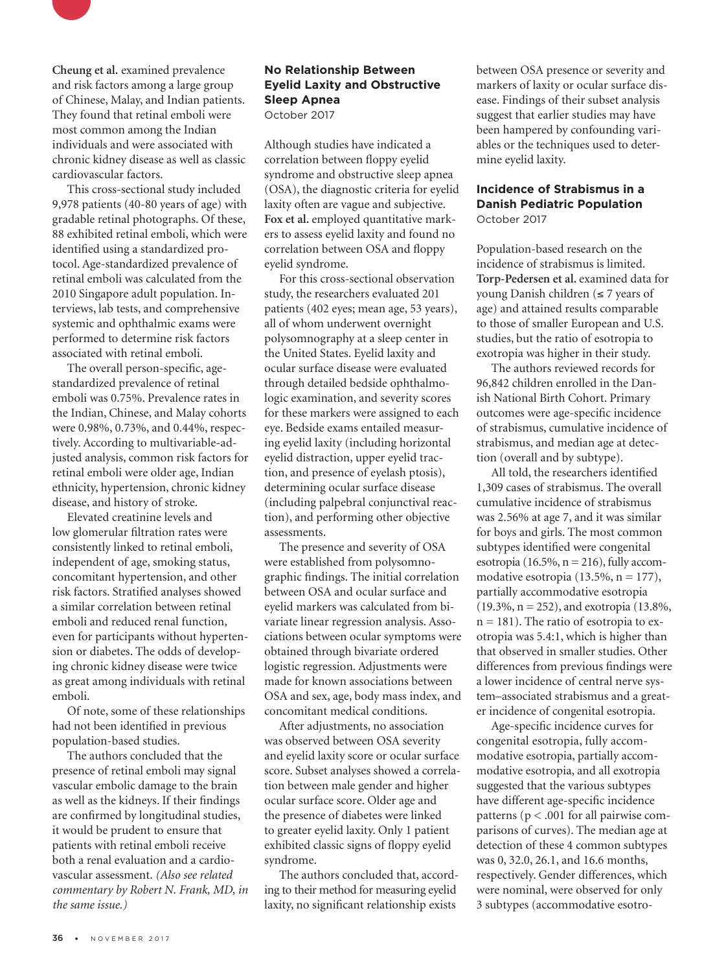

**Cheung et al.** examined prevalence and risk factors among a large group of Chinese, Malay, and Indian patients. They found that retinal emboli were most common among the Indian individuals and were associated with chronic kidney disease as well as classic cardiovascular factors.

This cross-sectional study included 9,978 patients (40-80 years of age) with gradable retinal photographs. Of these, 88 exhibited retinal emboli, which were identified using a standardized protocol. Age-standardized prevalence of retinal emboli was calculated from the 2010 Singapore adult population. Interviews, lab tests, and comprehensive systemic and ophthalmic exams were performed to determine risk factors associated with retinal emboli.

The overall person-specific, agestandardized prevalence of retinal emboli was 0.75%. Prevalence rates in the Indian, Chinese, and Malay cohorts were 0.98%, 0.73%, and 0.44%, respectively. According to multivariable-adjusted analysis, common risk factors for retinal emboli were older age, Indian ethnicity, hypertension, chronic kidney disease, and history of stroke.

Elevated creatinine levels and low glomerular filtration rates were consistently linked to retinal emboli, independent of age, smoking status, concomitant hypertension, and other risk factors. Stratified analyses showed a similar correlation between retinal emboli and reduced renal function, even for participants without hypertension or diabetes. The odds of developing chronic kidney disease were twice as great among individuals with retinal emboli.

Of note, some of these relationships had not been identified in previous population-based studies.

The authors concluded that the presence of retinal emboli may signal vascular embolic damage to the brain as well as the kidneys. If their findings are confirmed by longitudinal studies, it would be prudent to ensure that patients with retinal emboli receive both a renal evaluation and a cardiovascular assessment. *(Also see related commentary by Robert N. Frank, MD, in the same issue.)*

#### **No Relationship Between Eyelid Laxity and Obstructive Sleep Apnea** October 2017

Although studies have indicated a correlation between floppy eyelid syndrome and obstructive sleep apnea (OSA), the diagnostic criteria for eyelid laxity often are vague and subjective. Fox et al. employed quantitative markers to assess eyelid laxity and found no correlation between OSA and floppy eyelid syndrome.

For this cross-sectional observation study, the researchers evaluated 201 patients (402 eyes; mean age, 53 years), all of whom underwent overnight polysomnography at a sleep center in the United States. Eyelid laxity and ocular surface disease were evaluated through detailed bedside ophthalmologic examination, and severity scores for these markers were assigned to each eye. Bedside exams entailed measuring eyelid laxity (including horizontal eyelid distraction, upper eyelid traction, and presence of eyelash ptosis), determining ocular surface disease (including palpebral conjunctival reaction), and performing other objective assessments.

The presence and severity of OSA were established from polysomnographic findings. The initial correlation between OSA and ocular surface and eyelid markers was calculated from bivariate linear regression analysis. Associations between ocular symptoms were obtained through bivariate ordered logistic regression. Adjustments were made for known associations between OSA and sex, age, body mass index, and concomitant medical conditions.

After adjustments, no association was observed between OSA severity and eyelid laxity score or ocular surface score. Subset analyses showed a correlation between male gender and higher ocular surface score. Older age and the presence of diabetes were linked to greater eyelid laxity. Only 1 patient exhibited classic signs of floppy eyelid syndrome.

The authors concluded that, according to their method for measuring eyelid laxity, no significant relationship exists

between OSA presence or severity and markers of laxity or ocular surface disease. Findings of their subset analysis suggest that earlier studies may have been hampered by confounding variables or the techniques used to determine eyelid laxity.

#### **Incidence of Strabismus in a Danish Pediatric Population** October 2017

Population-based research on the incidence of strabismus is limited. **Torp-Pedersen et al.** examined data for young Danish children (≤ 7 years of age) and attained results comparable to those of smaller European and U.S. studies, but the ratio of esotropia to exotropia was higher in their study.

The authors reviewed records for 96,842 children enrolled in the Danish National Birth Cohort. Primary outcomes were age-specific incidence of strabismus, cumulative incidence of strabismus, and median age at detection (overall and by subtype).

All told, the researchers identified 1,309 cases of strabismus. The overall cumulative incidence of strabismus was 2.56% at age 7, and it was similar for boys and girls. The most common subtypes identified were congenital esotropia (16.5%,  $n = 216$ ), fully accommodative esotropia (13.5%,  $n = 177$ ), partially accommodative esotropia (19.3%, n = 252), and exotropia (13.8%,  $n = 181$ ). The ratio of esotropia to exotropia was 5.4:1, which is higher than that observed in smaller studies. Other differences from previous findings were a lower incidence of central nerve system–associated strabismus and a greater incidence of congenital esotropia.

Age-specific incidence curves for congenital esotropia, fully accommodative esotropia, partially accommodative esotropia, and all exotropia suggested that the various subtypes have different age-specific incidence patterns (p < .001 for all pairwise comparisons of curves). The median age at detection of these 4 common subtypes was 0, 32.0, 26.1, and 16.6 months, respectively. Gender differences, which were nominal, were observed for only 3 subtypes (accommodative esotro